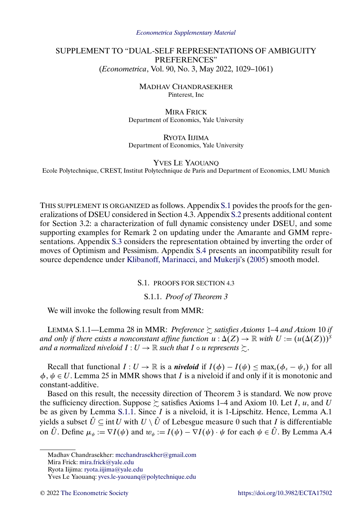#### *[Econometrica Supplementary Material](https://www.econometricsociety.org/suppmatlist.asp)*

# <span id="page-0-0"></span>SUPPLEMENT TO "DUAL-SELF REPRESENTATIONS OF AMBIGUITY PREFERENCES" (*Econometrica*, Vol. 90, No. 3, May 2022, 1029–1061)

MADHAV CHANDRASEKHER Pinterest, Inc

MIRA FRICK Department of Economics, Yale University

RYOTA IIJIMA Department of Economics, Yale University

YVES LE YAOUANQ Ecole Polytechnique, CREST, Institut Polytechnique de Paris and Department of Economics, LMU Munich

THIS SUPPLEMENT IS ORGANIZED as follows. Appendix S.1 povides the proofs for the generalizations of DSEU considered in Section 4.3. Appendix [S.2](#page-3-0) presents additional content for Section 3.2: a characterization of full dynamic consistency under DSEU, and some supporting examples for Remark 2 on updating under the Amarante and GMM representations. Appendix [S.3](#page-8-0) considers the representation obtained by inverting the order of moves of Optimism and Pessimism. Appendix [S.4](#page-9-0) presents an incompatibility result for source dependence under [Klibanoff, Marinacci, and Mukerji'](#page-10-0)s [\(2005\)](#page-10-0) smooth model.

S.1. PROOFS FOR SECTION 4.3

S.1.1. *Proof of Theorem 3*

We will invoke the following result from MMR:

LEMMA S.1.1—Lemma 28 in MMR: *Preference* - *satisfies Axioms* 1*–*4 *and Axiom* 10 *if* and only if there exists a nonconstant affine function  $u : \Delta(Z) \to \mathbb{R}$  with  $U := (u(\Delta(Z)))^S$ and a normalized niveloid  $I:U\to\mathbb{R}$  such that  $I$   $\circ$   $u$  represents  $\succsim$ .

Recall that functional  $I: U \to \mathbb{R}$  is a *niveloid* if  $I(\phi) - I(\psi) < \max_{s} (\phi_s - \psi_s)$  for all  $\phi, \psi \in U$ . Lemma 25 in MMR shows that *I* is a niveloid if and only if it is monotonic and constant-additive.

Based on this result, the necessity direction of Theorem 3 is standard. We now prove the sufficiency direction. Suppose  $\succsim$  satisfies Axioms 1–4 and Axiom 10. Let I, u, and U be as given by Lemma S.1.1. Since *I* is a niveloid, it is 1-Lipschitz. Hence, Lemma A.1 yields a subset  $\hat{U} \subseteq \text{int } U$  with  $U \setminus \hat{U}$  of Lebesgue measure 0 such that I is differentiable on  $\hat{U}$ . Define  $\mu_{\psi} := \nabla I(\psi)$  and  $w_{\psi} := I(\psi) - \nabla I(\psi) \cdot \psi$  for each  $\psi \in \hat{U}$ . By Lemma A.4

Mira Frick: [mira.frick@yale.edu](mailto:mira.frick@yale.edu)

Madhav Chandrasekher: [mcchandrasekher@gmail.com](mailto:mcchandrasekher@gmail.com)

Ryota Iijima: [ryota.iijima@yale.edu](mailto:ryota.iijima@yale.edu)

Yves Le Yaouanq: [yves.le-yaouanq@polytechnique.edu](mailto:yves.le-yaouanq@polytechnique.edu)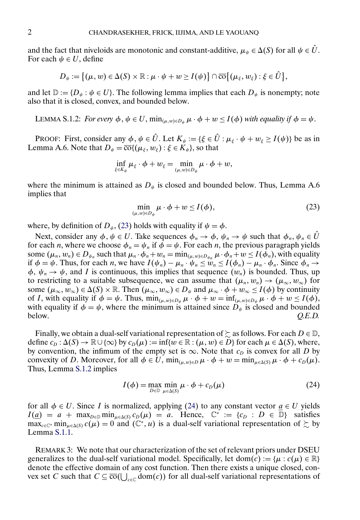and the fact that niveloids are monotonic and constant-additive,  $\mu_{\psi} \in \Delta(S)$  for all  $\psi \in U$ . For each  $\psi \in U$ , define

$$
D_{\psi} := \big\{(\mu, w) \in \Delta(S) \times \mathbb{R} : \mu \cdot \psi + w \geq I(\psi)\big\} \cap \overline{\text{co}}\big\{(\mu_{\xi}, w_{\xi}) : \xi \in \hat{U}\big\},\
$$

and let  $\mathbb{D} := \{D_{\psi} : \psi \in U\}$ . The following lemma implies that each  $D_{\psi}$  is nonempty; note also that it is closed, convex, and bounded below.

LEMMA S.1.2: *For every*  $\phi$ ,  $\psi \in U$ ,  $\min_{(\mu, w) \in D_{\psi}} \mu \cdot \phi + w \leq I(\phi)$  *with equality if*  $\phi = \psi$ .

PROOF: First, consider any  $\phi, \psi \in \hat{U}$ . Let  $K_{\psi} := {\{\xi \in \hat{U} : \mu_{\xi} \cdot \psi + w_{\xi} \ge I(\psi)\}}$  be as in Lemma A.6. Note that  $D_{\psi} = \overline{\text{co}}\{(\mu_{\xi}, w_{\xi}) : \xi \in K_{\psi}\}\)$ , so that

$$
\inf_{\xi\in K_{\psi}}\mu_{\xi}\cdot\phi+w_{\xi}=\min_{(\mu,w)\in D_{\psi}}\mu\cdot\phi+w,
$$

where the minimum is attained as  $D_{\psi}$  is closed and bounded below. Thus, Lemma A.6 implies that

$$
\min_{(\mu,w)\in D_{\psi}} \mu \cdot \phi + w \le I(\phi),\tag{23}
$$

where, by definition of  $D_{\psi}$ , (23) holds with equality if  $\psi = \phi$ .

Next, consider any  $\phi, \psi \in U$ . Take sequences  $\phi_n \to \phi, \psi_n \to \psi$  such that  $\phi_n, \psi_n \in U$ for each *n*, where we choose  $\phi_n = \psi_n$  if  $\phi = \psi$ . For each *n*, the previous paragraph yields some  $(\mu_n, w_n) \in D_{\psi_n}$  such that  $\mu_n \cdot \phi_n + w_n = \min_{(\mu, w) \in D_{\psi_n}} \mu \cdot \phi_n + w \leq I(\phi_n)$ , with equality if  $\phi = \psi$ . Thus, for each *n*, we have  $I(\psi_n) - \mu_n \cdot \psi_n \leq w_n \leq I(\phi_n) - \mu_n \cdot \phi_n$ . Since  $\phi_n \to \psi$  $\phi$ ,  $\psi_n \to \psi$ , and I is continuous, this implies that sequence  $(w_n)$  is bounded. Thus, up to restricting to a suitable subsequence, we can assume that  $(\mu_n, w_n) \to (\mu_\infty, w_\infty)$  for some  $(\mu_{\infty}, w_{\infty}) \in \Delta(S) \times \mathbb{R}$ . Then  $(\mu_{\infty}, w_{\infty}) \in D_{\psi}$  and  $\mu_{\infty} \cdot \phi + w_{\infty} \leq I(\phi)$  by continuity of I, with equality if  $\phi = \psi$ . Thus,  $\min_{(\mu, w) \in D_{\psi}} \mu \cdot \phi + w = \inf_{(\mu, w) \in D_{\psi}} \mu \cdot \phi + w \leq I(\phi)$ , with equality if  $\phi = \psi$ , where the minimum is attained since  $D_{\psi}$  is closed and bounded below. Q.E.D. below.  $Q.E.D.$ 

Finally, we obtain a dual-self variational representation of  $\succeq$  as follows. For each  $D \in \mathbb{D}$ , define  $c_D : \Delta(S) \to \mathbb{R} \cup \{\infty\}$  by  $c_D(\mu) := \inf\{w \in \mathbb{R} : (\mu, w) \in D\}$  for each  $\mu \in \Delta(S)$ , where, by convention, the infimum of the empty set is  $\infty$ . Note that  $c<sub>D</sub>$  is convex for all D by convexity of D. Moreover, for all  $\phi \in U$ ,  $\min_{(\mu, w) \in D} \mu \cdot \phi + w = \min_{\mu \in \Delta(S)} \mu \cdot \phi + c_D(\mu)$ . Thus, Lemma S.1.2 implies

$$
I(\phi) = \max_{D \in \mathbb{D}} \min_{\mu \in \Delta(S)} \mu \cdot \phi + c_D(\mu)
$$
 (24)

for all  $\phi \in U$ . Since I is normalized, applying (24) to any constant vector  $a \in U$  yields  $I(\underline{a}) = a + \max_{D \in \mathbb{D}} \min_{\mu \in \Delta(S)} c_D(\mu) = a$ . Hence,  $\mathbb{C}^* := \{c_D : D \in \mathbb{D}\}\$  satisfies  $\max_{c \in \mathbb{C}^*} \min_{\mu \in \Delta(S)} c(\mu) = 0$  and  $(\mathbb{C}^*, u)$  is a dual-self variational representation of  $\succsim$  by Lemma [S.1.1.](#page-0-0)

REMARK 3: We note that our characterization of the set of relevant priors under DSEU generalizes to the dual-self variational model. Specifically, let dom(c) := { $\mu$  :  $c(\mu) \in \mathbb{R}$ } denote the effective domain of any cost function. Then there exists a unique closed, convex set C such that  $C \subseteq \overline{co}(\bigcup_{c \in \mathbb{C}} dom(c))$  for all dual-self variational representations of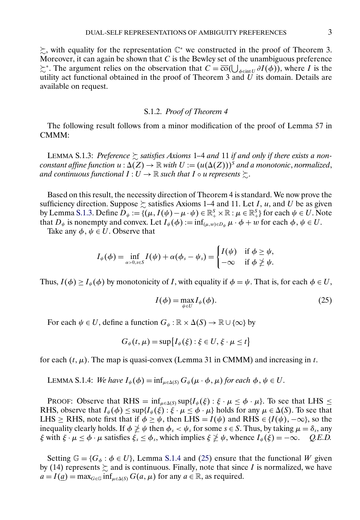-, with equality for the representation C<sup>∗</sup> we constructed in the proof of Theorem 3. Moreover, it can again be shown that  $C$  is the Bewley set of the unambiguous preference  $\succsim^*$ . The argument relies on the observation that  $C = \overline{co}(\bigcup_{\phi \in \text{int } U} \partial I(\phi))$ , where I is the utility act functional obtained in the proof of Theorem 3 and  $U$  its domain. Details are available on request.

#### S.1.2. *Proof of Theorem 4*

The following result follows from a minor modification of the proof of Lemma 57 in CMMM:

LEMMA S.1.3: Preference  $\succsim$  satisfies Axioms 1–4 and 11 if and only if there exists a non $constant$  affine function  $u : \Delta(Z) \to \mathbb{R}$  with  $U := (u(\Delta(Z)))^S$  and a monotonic, normalized, and continuous functional  $I:U\to\mathbb{R}$  such that  $I$   $\circ$   $u$  represents  $\succsim$ .

Based on this result, the necessity direction of Theorem 4 is standard. We now prove the sufficiency direction. Suppose  $\succsim$  satisfies Axioms 1–4 and 11. Let I, u, and U be as given by Lemma S.1.3. Define  $D_{\psi} := \{(\mu, I(\psi) - \mu \cdot \psi) \in \mathbb{R}^S_+ \times \mathbb{R} : \mu \in \mathbb{R}^S_+\}$  for each  $\psi \in U$ . Note that  $D_{\psi}$  is nonempty and convex. Let  $I_{\psi}(\phi) := \inf_{(\mu, w) \in D_{\psi}} \mu \cdot \phi + w$  for each  $\phi, \psi \in U$ .

Take any  $\phi$ ,  $\psi \in U$ . Observe that

$$
I_{\psi}(\phi) = \inf_{\alpha > 0, s \in S} I(\psi) + \alpha(\phi_s - \psi_s) = \begin{cases} I(\psi) & \text{if } \phi \geq \psi, \\ -\infty & \text{if } \phi \ngeq \psi. \end{cases}
$$

Thus,  $I(\phi) \geq I_{\psi}(\phi)$  by monotonicity of I, with equality if  $\phi = \psi$ . That is, for each  $\phi \in U$ ,

$$
I(\phi) = \max_{\psi \in U} I_{\psi}(\phi). \tag{25}
$$

For each  $\psi \in U$ , define a function  $G_{\psi} : \mathbb{R} \times \Delta(S) \to \mathbb{R} \cup \{\infty\}$  by

$$
G_{\psi}(t,\mu)=\sup\bigl\{I_{\psi}(\xi):\xi\in U,\xi\cdot\mu\leq t\bigr\}
$$

for each  $(t, \mu)$ . The map is quasi-convex (Lemma 31 in CMMM) and increasing in t.

LEMMA S.1.4: *We have*  $I_{\psi}(\phi) = \inf_{\mu \in \Delta(S)} G_{\psi}(\mu \cdot \phi, \mu)$  for each  $\phi, \psi \in U$ .

PROOF: Observe that RHS =  $\inf_{\mu \in \Delta(S)} \sup \{ I_{\psi}(\xi) : \xi \cdot \mu \leq \phi \cdot \mu \}$ . To see that LHS  $\leq$ RHS, observe that  $I_{\psi}(\phi) \leq \sup\{I_{\psi}(\xi) : \xi \cdot \mu \leq \phi \cdot \mu\}$  holds for any  $\mu \in \Delta(S)$ . To see that LHS ≥ RHS, note first that if  $\phi \ge \psi$ , then LHS =  $I(\psi)$  and RHS  $\in \{I(\psi), -\infty\}$ , so the inequality clearly holds. If  $\phi \ngeq \psi$  then  $\phi_s < \psi_s$  for some  $s \in S$ . Thus, by taking  $\mu = \delta_s$ , any  $\xi$  with  $\xi \cdot \mu \le \phi \cdot \mu$  satisfies  $\xi_s \le \phi_s$ , which implies  $\xi \not\ge \psi$ , whence  $I_{\psi}(\xi) = -\infty$ . *Q.E.D.* 

Setting  $\mathbb{G} = \{G_{\phi} : \phi \in U\}$ , Lemma S.1.4 and (25) ensure that the functional W given by (14) represents  $\succsim$  and is continuous. Finally, note that since I is normalized, we have  $a = I(\underline{a}) = \max_{G \in \mathbb{G}} \inf_{\mu \in \Delta(S)} G(a, \mu)$  for any  $a \in \mathbb{R}$ , as required.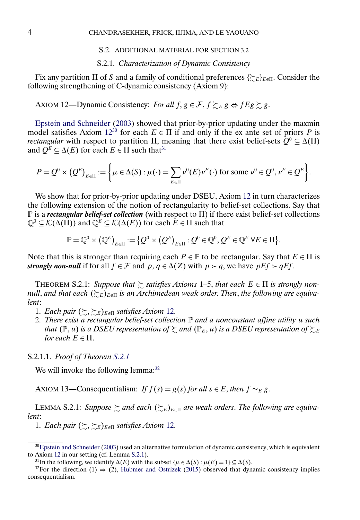## S.2. ADDITIONAL MATERIAL FOR SECTION 3.2

## S.2.1. *Characterization of Dynamic Consistency*

<span id="page-3-0"></span>Fix any partition  $\Pi$  of S and a family of conditional preferences  $\{\gtrsim_{E}\}_{E\in\Pi}$ . Consider the following strengthening of C-dynamic consistency (Axiom 9):

AXIOM 12—Dynamic Consistency: *For all*  $f, g \in \mathcal{F}, f \succsim_E g \Leftrightarrow f E g \succsim g$ .

[Epstein and Schneider](#page-10-0) [\(2003\)](#page-10-0) showed that prior-by-prior updating under the maxmin model satisfies Axiom  $12^{30}$  for each  $E \in \Pi$  if and only if the ex ante set of priors P is *rectangular* with respect to partition  $\Pi$ , meaning that there exist belief-sets  $Q^0 \subseteq \Delta(\Pi)$ and  $Q^E \subseteq \Delta(E)$  for each  $E \in \Pi$  such that<sup>31</sup>

$$
P = Q^0 \times (Q^E)_{E \in \Pi} := \left\{ \mu \in \Delta(S) : \mu(\cdot) = \sum_{E \in \Pi} \nu^0(E) \nu^E(\cdot) \text{ for some } \nu^0 \in Q^0, \nu^E \in Q^E \right\}.
$$

We show that for prior-by-prior updating under DSEU, Axiom 12 in turn characterizes the following extension of the notion of rectangularity to belief-set collections. Say that  $\mathbb P$  is a *rectangular belief-set collection* (with respect to  $\Pi$ ) if there exist belief-set collections  $\mathbb{Q}^0 \subseteq \mathcal{K}(\Delta(\Pi))$  and  $\mathbb{Q}^E \subseteq \mathcal{K}(\Delta(E))$  for each  $E \in \Pi$  such that

$$
\mathbb{P} = \mathbb{Q}^0 \times (\mathbb{Q}^E)_{E \in \Pi} := \{ Q^0 \times (Q^E)_{E \in \Pi} : Q^0 \in \mathbb{Q}^0, Q^E \in \mathbb{Q}^E \ \forall E \in \Pi \}.
$$

Note that this is stronger than requiring each  $P \in \mathbb{P}$  to be rectangular. Say that  $E \in \Pi$  is *strongly non-null* if for all  $f \in \mathcal{F}$  and  $p, q \in \Delta(Z)$  with  $p > q$ , we have  $pEf > qEf$ .

THEOREM S.2.1: *Suppose that*  $\gtrsim$  *satisfies Axioms* 1–5, *that each*  $E \in \Pi$  *is strongly nonnull, and that each* (≿<sub>E</sub>)<sub>E∈II</sub> is an Archimedean weak order. Then, the following are equiva*lent*:

- 1. *Each pair*  $(\succsim, \gtsim_E)_{E \in \Pi}$  *satisfies Axiom* 12.
- 2. *There exist a rectangular belief-set collection* P *and a nonconstant affine utility* u *such* that  $(\mathbb{P},u)$  is a DSEU representation of  $\succsim$  and  $(\mathbb{P}_E,u)$  is a DSEU representation of  $\succsim_{\!\!E}$ *for each*  $E \in \Pi$ .

S.2.1.1. *Proof of Theorem S.2.1*

We will invoke the following lemma:<sup>32</sup>

AXIOM 13—Consequentialism: *If*  $f(s) = g(s)$  *for all*  $s \in E$ *, then*  $f \sim_E g$ *.* 

LEMMA S.2.1: Suppose  $\succsim$  and each  $(\succsim_{E})_{E \in \Pi}$  are weak orders. The following are equiva*lent*:

1. *Each pair*  $(\succsim, \gtsim_E)_{E \in \Pi}$  *satisfies Axiom* 12.

<sup>&</sup>lt;sup>30</sup>Epstein and Schneider [\(2003\)](#page-10-0) used an alternative formulation of dynamic consistency, which is equivalent to Axiom 12 in our setting (cf. Lemma S.2.1).

<sup>&</sup>lt;sup>31</sup>In the following, we identify  $\Delta(E)$  with the subset  $\{\mu \in \Delta(S) : \mu(E) = 1\} \subseteq \Delta(S)$ .

<sup>&</sup>lt;sup>32</sup>For the direction (1)  $\Rightarrow$  (2), [Hubmer and Ostrizek](#page-10-0) [\(2015\)](#page-10-0) observed that dynamic consistency implies consequentialism.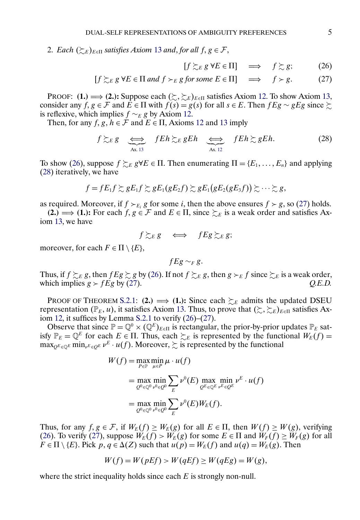<span id="page-4-0"></span>2. Each  $(\succsim_{E})_{E \in \Pi}$  satisfies Axiom [13](#page-3-0) and, for all  $f, g \in \mathcal{F}$ ,

$$
[f \succsim_{E} g \forall E \in \Pi] \implies f \succsim g; \tag{26}
$$

$$
[f \succsim_{E} g \forall E \in \Pi \text{ and } f \succ_{E} g \text{ for some } E \in \Pi] \implies f \succ g. \tag{27}
$$

PROOF: **(1.)**  $\implies$  **(2.):** Suppose each  $(\succsim, \succsim_E)_{E \in \Pi}$  satisfies Axiom [12.](#page-3-0) To show Axiom [13,](#page-3-0) consider any  $f, g \in \mathcal{F}$  and  $E \in \Pi$  with  $f(s) = g(s)$  for all  $s \in E$ . Then  $fEg \sim gEg$  since  $\succsim$ is reflexive, which implies  $f \sim_E g$  by Axiom [12.](#page-3-0)

Then, for any  $f, g, h \in \mathcal{F}$  and  $E \in \Pi$ , Axioms [12](#page-3-0) and [13](#page-3-0) imply

$$
f \succsim_E g \quad \Longleftrightarrow \quad fEh \succsim_E gEh \quad \Longleftrightarrow \quad fEh \succsim gEh. \tag{28}
$$

To show (26), suppose  $f \succsim_E g \forall E \in \Pi$ . Then enumerating  $\Pi = \{E_1, \ldots, E_n\}$  and applying (28) iteratively, we have

$$
f=fE_1f\gtrsim gE_1f\gtrsim gE_1(gE_2f)\gtrsim gE_1(gE_2(gE_3f))\gtrsim\cdots\gtrsim g,
$$

as required. Moreover, if  $f \succ_{E_i} g$  for some i, then the above ensures  $f \succ g$ , so (27) holds.

(2.) ⇒ (1.): For each  $f, g \in \mathcal{F}$  and  $E \in \Pi$ , since  $\succsim_{E}$  is a weak order and satisfies Axiom [13,](#page-3-0) we have

$$
f \gtrsim_E g \iff fEg \gtrsim_E g;
$$

moreover, for each  $F \in \Pi \setminus \{E\},\$ 

 $fEg \sim_F g$ .

Thus, if  $f \gtrsim_E g$ , then  $fEg \gtrsim g$  by (26). If not  $f \gtrsim_E g$ , then  $g \gtrsim_E f$  since  $\gtrsim_E i$  is a weak order, which implies  $g > fEg$  by (27).  $Q.E.D.$ 

PROOF OF THEOREM [S.2.1:](#page-3-0) **(2.)**  $\implies$  **(1.):** Since each  $\succsim_{E}$  admits the updated DSEU representation ( $\mathbb{P}_E$ , u), it satisfies Axiom [13.](#page-3-0) Thus, to prove that  $(\succsim, \gtsim_E)_{E \in \Pi}$  satisfies Axiom [12,](#page-3-0) it suffices by Lemma [S.2.1](#page-3-0) to verify (26)–(27).

Observe that since  $\mathbb{P} = \mathbb{Q}^0 \times (\mathbb{Q}^E)_{E \in \Pi}$  is rectangular, the prior-by-prior updates  $\mathbb{P}_E$  satisfy  $\mathbb{P}_E = \mathbb{Q}^E$  for each  $E \in \Pi$ . Thus, each  $\succsim_E$  is represented by the functional  $W_E(f) =$  $\max_{Q^E \in \mathbb{Q}^E} \min_{v^E \in Q^E} v^E \cdot u(f)$ . Moreover,  $\succsim$  is represented by the functional

$$
W(f) = \max_{P \in \mathbb{P}} \min_{\mu \in P} \mu \cdot u(f)
$$
  
= 
$$
\max_{Q^0 \in \mathbb{Q}^0} \min_{\nu^0 \in Q^0} \sum_E \nu^0(E) \max_{Q^E \in \mathbb{Q}^E} \min_{\nu^E \in Q^E} \nu^E \cdot u(f)
$$
  
= 
$$
\max_{Q^0 \in \mathbb{Q}^0} \min_{\nu^0 \in Q^0} \sum_E \nu^0(E) W_E(f).
$$

Thus, for any  $f, g \in \mathcal{F}$ , if  $W_E(f) \geq W_E(g)$  for all  $E \in \Pi$ , then  $W(f) \geq W(g)$ , verifying (26). To verify (27), suppose  $W_E(f) > W_E(g)$  for some  $E \in \Pi$  and  $W_F(f) \geq W_F(g)$  for all  $F \in \Pi \setminus \{E\}$ . Pick  $p, q \in \Delta(Z)$  such that  $u(p) = W_E(f)$  and  $u(q) = W_E(g)$ . Then

$$
W(f) = W(pEf) > W(qEf) \ge W(qEg) = W(g),
$$

where the strict inequality holds since each  $E$  is strongly non-null.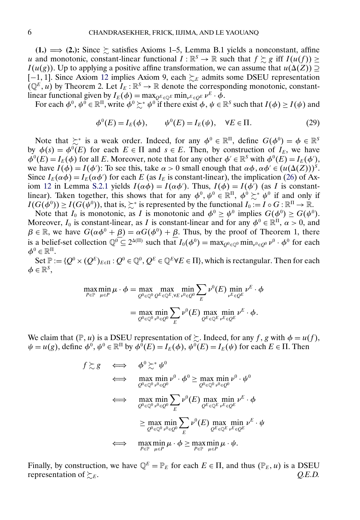**(1.)**  $\implies$  **(2.):** Since  $\succsim$  satisfies Axioms 1–5, Lemma B.1 yields a nonconstant, affine u and monotonic, constant-linear functional  $I : \mathbb{R}^S \to \mathbb{R}$  such that  $f \gtrsim g$  iff  $I(u(f)) \ge$  $I(u(g))$ . Up to applying a positive affine transformation, we can assume that  $u(\Delta(Z)) \supseteq$ [-1, 1]. Since Axiom [12](#page-3-0) implies Axiom 9, each  $\succsim_E$  admits some DSEU representation  $(Q^E, u)$  by Theorem 2. Let  $I_E : \mathbb{R}^S \to \mathbb{R}$  denote the corresponding monotonic, constantlinear functional given by  $I_E(\phi) = \max_{\substack{O^E \in \mathbb{Q}^E}} \min_{\substack{\nu^E \in O^E}} \nu^E \cdot \phi$ .

For each  $\phi^0, \psi^0 \in \mathbb{R}^{\Pi}$ , write  $\phi^0 \succsim^* \psi^0$  if there exist  $\phi, \psi \in \mathbb{R}^S$  such that  $I(\phi) \geq I(\psi)$  and

$$
\phi^{0}(E) = I_{E}(\phi), \qquad \psi^{0}(E) = I_{E}(\psi), \quad \forall E \in \Pi.
$$
 (29)

Note that  $\succsim^*$  is a weak order. Indeed, for any  $\phi^0 \in \mathbb{R}^{\Pi}$ , define  $G(\phi^0) = \phi \in \mathbb{R}^{\Sigma}$ by  $\phi(s) = \phi^0(E)$  for each  $E \in \Pi$  and  $s \in E$ . Then, by construction of  $I_E$ , we have  $\phi^0(E) = I_E(\phi)$  for all E. Moreover, note that for any other  $\phi' \in \mathbb{R}^S$  with  $\phi^0(E) = I_E(\phi')$ , we have  $I(\phi) = I(\phi')$ : To see this, take  $\alpha > 0$  small enough that  $\alpha \phi, \alpha \phi' \in (u(\Delta(Z)))^S$ . Since  $I_E(\alpha \phi) = I_E(\alpha \phi')$  for each E (as  $I_E$  is constant-linear), the implication [\(26\)](#page-4-0) of Ax-iom [12](#page-3-0) in Lemma [S.2.1](#page-3-0) yields  $I(\alpha \phi) = I(\alpha \phi')$ . Thus,  $I(\phi) = I(\phi')$  (as I is constantlinear). Taken together, this shows that for any  $\phi^0, \psi^0 \in \mathbb{R}^{\Pi}, \phi^0 \succeq^* \psi^0$  if and only if  $I(G(\phi^0)) \ge I(G(\psi^0))$ , that is,  $\succsim^*$  is represented by the functional  $I_0 := I \circ G : \mathbb{R}^{\Pi} \to \mathbb{R}$ .

Note that  $I_0$  is monotonic, as I is monotonic and  $\phi^0 \geq \psi^0$  implies  $G(\phi^0) \geq G(\psi^0)$ . Moreover,  $I_0$  is constant-linear, as I is constant-linear and for any  $\phi^0 \in \mathbb{R}^{\Pi}$ ,  $\alpha > 0$ , and  $\beta \in \mathbb{R}$ , we have  $G(\alpha \phi^0 + \underline{\beta}) = \alpha G(\phi^0) + \underline{\beta}$ . Thus, by the proof of Theorem 1, there is a belief-set collection  $\mathbb{Q}^0 \subseteq 2^{\Delta(\Pi)}$  such that  $I_0(\phi^0) = \max_{\mathcal{Q}^0 \in \mathbb{Q}^0} \min_{\nu^0 \in \mathcal{Q}^0} \nu^0 \cdot \phi^0$  for each  $\boldsymbol{\phi}^0 \in \mathbb{R}^{\Pi}$ .

Set  $\mathbb{P} := \{Q^0 \times (Q^E)_{E \in \Pi} : Q^0 \in \mathbb{Q}^0, Q^E \in \mathbb{Q}^E \forall E \in \Pi\}$ , which is rectangular. Then for each  $\phi \in \mathbb{R}^S$ ,

$$
\max_{P \in \mathbb{P}} \min_{\mu \in P} \mu \cdot \phi = \max_{Q^0 \in \mathbb{Q}^0} \max_{Q^E \in \mathbb{Q}^E, \forall E} \min_{\nu^0 \in Q^0} \sum_{E} \nu^0(E) \min_{\nu^E \in Q^E} \nu^E \cdot \phi
$$

$$
= \max_{Q^0 \in \mathbb{Q}^0} \min_{\nu^0 \in Q^0} \sum_{E} \nu^0(E) \max_{Q^E \in \mathbb{Q}^E} \min_{\nu^E \in Q^E} \nu^E \cdot \phi.
$$

We claim that  $(\mathbb{P}, u)$  is a DSEU representation of  $\sum$ . Indeed, for any f, g with  $\phi = u(f)$ ,  $\psi = u(g)$ , define  $\phi^0$ ,  $\psi^0 \in \mathbb{R}^{\Pi}$  by  $\phi^0(E) = I_E(\phi)$ ,  $\psi^0(E) = I_E(\psi)$  for each  $E \in \Pi$ . Then

$$
f \gtrsim g \iff \phi^0 \gtrsim^* \psi^0
$$
  
\n
$$
\iff \max_{Q^0 \in \mathbb{Q}^0} \min_{\nu^0 \in Q^0} \nu^0 \cdot \phi^0 \ge \max_{Q^0 \in \mathbb{Q}^0} \min_{\nu^0 \in Q^0} \nu^0 \cdot \psi^0
$$
  
\n
$$
\iff \max_{Q^0 \in \mathbb{Q}^0} \min_{\nu^0 \in Q^0} \sum_E \nu^0(E) \max_{Q^E \in \mathbb{Q}^E} \min_{\nu^E \in Q^E} \nu^E \cdot \phi
$$
  
\n
$$
\ge \max_{Q^0 \in \mathbb{Q}^0} \min_{\nu^0 \in Q^0} \sum_E \nu^0(E) \max_{Q^E \in \mathbb{Q}^E} \min_{\nu^E \in Q^E} \nu^E \cdot \psi
$$
  
\n
$$
\iff \max_{P \in \mathbb{P}} \min_{\mu \in P} \mu \cdot \phi \ge \max_{P \in \mathbb{P}} \min_{\mu \in P} \mu \cdot \psi.
$$

Finally, by construction, we have  $\mathbb{Q}^E = \mathbb{P}_E$  for each  $E \in \Pi$ , and thus  $(\mathbb{P}_E, u)$  is a DSEU representation of  $\succsim_{E}$ . Q.E.D. representation of  $\succeq_{E}$ .  $\Omega$ . E.D.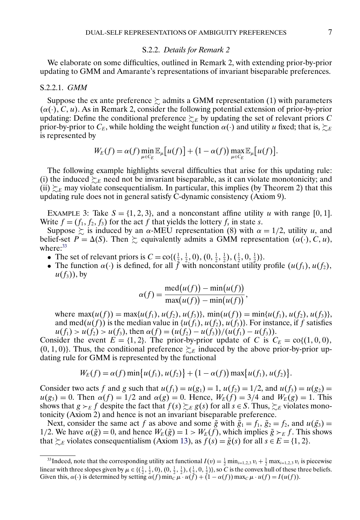#### S.2.2. *Details for Remark 2*

<span id="page-6-0"></span>We elaborate on some difficulties, outlined in Remark 2, with extending prior-by-prior updating to GMM and Amarante's representations of invariant biseparable preferences.

#### S.2.2.1. *GMM*

Suppose the ex ante preference  $\succsim$  admits a GMM representation (1) with parameters  $(\alpha(\cdot), C, u)$ . As in Remark 2, consider the following potential extension of prior-by-prior updating: Define the conditional preference  $\succsim_E$  by updating the set of relevant priors C prior-by-prior to  $C_E$ , while holding the weight function  $\alpha(\cdot)$  and utility u fixed; that is,  $\succsim_E$ is represented by

$$
W_E(f) = \alpha(f) \min_{\mu \in C_E} \mathbb{E}_{\mu}[u(f)] + (1 - \alpha(f)) \max_{\mu \in C_E} \mathbb{E}_{\mu}[u(f)].
$$

The following example highlights several difficulties that arise for this updating rule: (i) the induced  $\succsim_E$  need not be invariant biseparable, as it can violate monotonicity; and (ii)  $\succsim_E$  may violate consequentialism. In particular, this implies (by Theorem 2) that this updating rule does not in general satisfy C-dynamic consistency (Axiom 9).

EXAMPLE 3: Take  $S = \{1, 2, 3\}$ , and a nonconstant affine utility u with range [0, 1]. Write  $f = (f_1, f_2, f_3)$  for the act f that yields the lottery  $f_s$  in state s.

Suppose  $\gtrsim$  is induced by an  $\alpha$ -MEU representation (8) with  $\alpha = 1/2$ , utility u, and belief-set  $P = \Delta(S)$ . Then  $\succsim$  equivalently admits a GMM representation  $(\alpha(\cdot), C, u)$ , where: $33$ 

- The set of relevant priors is  $C = \text{co}\left(\left(\frac{1}{2}, \frac{1}{2}, 0\right), \left(0, \frac{1}{2}, \frac{1}{2}\right), \left(\frac{1}{2}, 0, \frac{1}{2}\right)\right)$ .
- The function  $\alpha(\cdot)$  is defined, for all  $\tilde{f}$  with nonconstant utility profile  $(u(f_1), u(f_2))$ ,  $u(f_3)$ , by

$$
\alpha(f) = \frac{\text{med}(u(f)) - \text{min}(u(f))}{\text{max}(u(f)) - \text{min}(u(f))},
$$

where  $\max(u(f)) = \max\{u(f_1), u(f_2), u(f_3)\}, \min(u(f)) = \min\{u(f_1), u(f_2), u(f_3)\},\$ and med( $u(f)$ ) is the median value in { $u(f_1)$ ,  $u(f_2)$ ,  $u(f_3)$ }. For instance, if f satisfies  $u(f_1) > u(f_2) > u(f_3)$ , then  $\alpha(f) = (u(f_2) - u(f_3))/(u(f_1) - u(f_3))$ .

Consider the event  $E = \{1, 2\}$ . The prior-by-prior update of C is  $C_E = \text{co}\{(1, 0, 0)\}$ ,  $(0, 1, 0)$ . Thus, the conditional preference  $\succsim_{E}$  induced by the above prior-by-prior updating rule for GMM is represented by the functional

$$
W_E(f) = \alpha(f) \min \{u(f_1), u(f_2)\} + (1 - \alpha(f)) \max \{u(f_1), u(f_2)\}.
$$

Consider two acts f and g such that  $u(f_1) = u(g_1) = 1$ ,  $u(f_2) = 1/2$ , and  $u(f_3) = u(g_2) = 1/2$  $u(g_3) = 0$ . Then  $\alpha(f) = 1/2$  and  $\alpha(g) = 0$ . Hence,  $W_E(f) = 3/4$  and  $W_E(g) = 1$ . This shows that  $g \succ_E f$  despite the fact that  $f(s) \succ_{E} g(s)$  for all  $s \in S$ . Thus,  $\succ_{E}$  violates monotonicity (Axiom 2) and hence is not an invariant biseparable preference.

Next, consider the same act f as above and some  $\tilde{g}$  with  $\tilde{g}_1 = f_1$ ,  $\tilde{g}_2 = f_2$ , and  $u(\tilde{g}_3) =$ 1/2. We have  $\alpha(\tilde{g}) = 0$ , and hence  $W_E(\tilde{g}) = 1 > W_E(f)$ , which implies  $\tilde{g} \succ_E f$ . This shows that  $\succsim_E$  violates consequentialism (Axiom [13\)](#page-3-0), as  $f(s) = \tilde{g}(s)$  for all  $s \in E = \{1, 2\}$ .

<sup>&</sup>lt;sup>33</sup>Indeed, note that the corresponding utility act functional  $I(v) = \frac{1}{2} \min_{i=1,2,3} v_i + \frac{1}{2} \max_{i=1,2,3} v_i$  is piecewise linear with three slopes given by  $\mu \in \{(\frac{1}{2}, \frac{1}{2}, 0), (0, \frac{1}{2}, \frac{1}{2}), (\frac{1}{2}, 0, \frac{1}{2})\}$ , so C is the convex hull of these three beliefs. Given this,  $\alpha(\cdot)$  is determined by setting  $\alpha(f)$  min<sub>C</sub>  $\mu \cdot u(f) + (1 - \alpha(f))$  max<sub>C</sub>  $\mu \cdot u(f) = I(u(f))$ .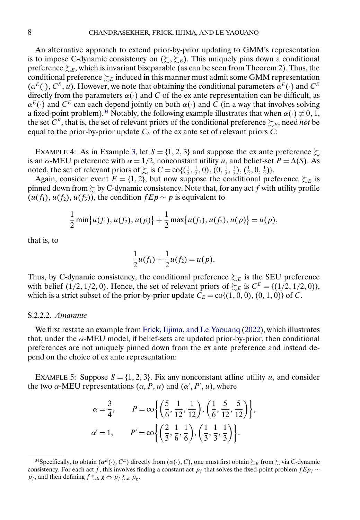<span id="page-7-0"></span>An alternative approach to extend prior-by-prior updating to GMM's representation is to impose C-dynamic consistency on  $(\succsim, \succsim_E)$ . This uniquely pins down a conditional preference  $\succsim_{E}$ , which is invariant biseparable (as can be seen from Theorem 2). Thus, the conditional preference  $\succsim_{\scriptscriptstyle E}$  induced in this manner must admit some GMM representation  $(\alpha^{E}(\cdot), C^{E}, u)$ . However, we note that obtaining the conditional parameters  $\alpha^{E}(\cdot)$  and  $C^{E}$ directly from the parameters  $\alpha(\cdot)$  and C of the ex ante representation can be difficult, as  $\alpha^{E}(\cdot)$  and  $C^{E}$  can each depend jointly on both  $\alpha(\cdot)$  and C (in a way that involves solving a fixed-point problem).<sup>34</sup> Notably, the following example illustrates that when  $\alpha(\cdot) \neq 0, 1$ , the set  $C^E$ , that is, the set of relevant priors of the conditional preference  $\succsim_E$ , need *not* be equal to the prior-by-prior update  $C_E$  of the ex ante set of relevant priors C:

EXAMPLE 4: As in Example [3,](#page-6-0) let  $S = \{1, 2, 3\}$  and suppose the ex ante preference  $\succsim$ is an  $\alpha$ -MEU preference with  $\alpha = 1/2$ , nonconstant utility u, and belief-set  $P = \Delta(S)$ . As noted, the set of relevant priors of  $\succsim$  is  $C = \text{co}\{(\frac{1}{2}, \frac{1}{2}, 0), (0, \frac{1}{2}, \frac{1}{2}), (\frac{1}{2}, 0, \frac{1}{2})\}.$ 

Again, consider event  $E = \{1, 2\}$ , but now suppose the conditional preference  $\succsim_E$  is pinned down from  $\succsim$  by C-dynamic consistency. Note that, for any act  $f$  with utility profile  $(u(f_1), u(f_2), u(f_3))$ , the condition  $fEp \sim p$  is equivalent to

$$
\frac{1}{2}\min\{u(f_1),u(f_2),u(p)\}+\frac{1}{2}\max\{u(f_1),u(f_2),u(p)\}=u(p),
$$

that is, to

$$
\frac{1}{2}u(f_1) + \frac{1}{2}u(f_2) = u(p).
$$

Thus, by C-dynamic consistency, the conditional preference  $\succsim_{E}$  is the SEU preference with belief (1/2, 1/2, 0). Hence, the set of relevant priors of  $\succsim_E$  is  $C^E = \{(1/2, 1/2, 0)\},$ which is a strict subset of the prior-by-prior update  $C_E = \text{co}\{(1, 0, 0), (0, 1, 0)\}\text{ of } C$ .

## S.2.2.2. *Amarante*

We first restate an example from [Frick, Iijima, and Le Yaouanq](#page-10-0) [\(2022\)](#page-10-0), which illustrates that, under the α-MEU model, if belief-sets are updated prior-by-prior, then conditional preferences are not uniquely pinned down from the ex ante preference and instead depend on the choice of ex ante representation:

EXAMPLE 5: Suppose  $S = \{1, 2, 3\}$ . Fix any nonconstant affine utility u, and consider the two  $\alpha$ -MEU representations  $(\alpha, P, u)$  and  $(\alpha', P', u)$ , where

$$
\alpha = \frac{3}{4}, \qquad P = \cos\left\{ \left( \frac{5}{6}, \frac{1}{12}, \frac{1}{12} \right), \left( \frac{1}{6}, \frac{5}{12}, \frac{5}{12} \right) \right\},\newline \alpha' = 1, \qquad P' = \cos\left\{ \left( \frac{2}{3}, \frac{1}{6}, \frac{1}{6} \right), \left( \frac{1}{3}, \frac{1}{3}, \frac{1}{3} \right) \right\}.
$$

<sup>&</sup>lt;sup>34</sup>Specifically, to obtain  $(\alpha^E(\cdot), C^E)$  directly from  $(\alpha(\cdot), C)$ , one must first obtain  $\succsim_E$  from  $\succsim$  via C-dynamic consistency. For each act f, this involves finding a constant act  $p_f$  that solves the fixed-point problem  $fEp_f \sim$  $p_f$ , and then defining  $f \succsim_E g \Leftrightarrow p_f \succsim_E p_g$ .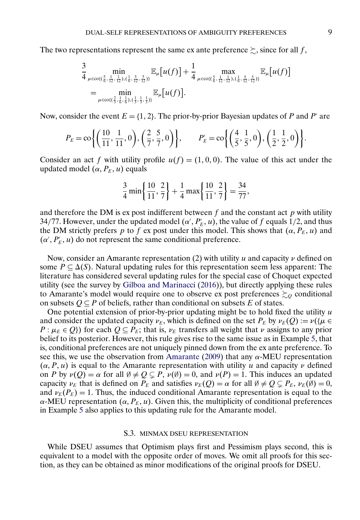<span id="page-8-0"></span>The two representations represent the same ex ante preference  $\succsim$ , since for all f,

$$
\frac{3}{4} \min_{\mu \in \text{col}(\frac{5}{6}, \frac{1}{12}, \frac{1}{12}), (\frac{1}{6}, \frac{5}{12}, \frac{5}{12})\}} \mathbb{E}_{\mu}[u(f)] + \frac{1}{4} \max_{\mu \in \text{col}(\frac{5}{6}, \frac{1}{12}, \frac{1}{12}), (\frac{1}{6}, \frac{5}{12}, \frac{5}{12})\}} \mathbb{E}_{\mu}[u(f)]
$$
\n
$$
= \min_{\mu \in \text{col}(\frac{2}{3}, \frac{1}{6}, \frac{1}{6}), (\frac{1}{3}, \frac{1}{3}, \frac{1}{3})\}} \mathbb{E}_{\mu}[u(f)].
$$

Now, consider the event  $E = \{1, 2\}$ . The prior-by-prior Bayesian updates of P and P' are

$$
P_E = \text{co}\bigg\{\bigg(\frac{10}{11}, \frac{1}{11}, 0\bigg), \bigg(\frac{2}{7}, \frac{5}{7}, 0\bigg)\bigg\}, \qquad P'_E = \text{co}\bigg\{\bigg(\frac{4}{5}, \frac{1}{5}, 0\bigg), \bigg(\frac{1}{2}, \frac{1}{2}, 0\bigg)\bigg\}.
$$

Consider an act f with utility profile  $u(f) = (1, 0, 0)$ . The value of this act under the updated model  $(\alpha, P_E, u)$  equals

$$
\frac{3}{4}\min\left\{\frac{10}{11},\frac{2}{7}\right\} + \frac{1}{4}\max\left\{\frac{10}{11},\frac{2}{7}\right\} = \frac{34}{77},
$$

and therefore the DM is ex post indifferent between  $f$  and the constant act  $p$  with utility 34/77. However, under the updated model  $(\alpha', P_E', u)$ , the value of  $f$  equals 1/2, and thus the DM strictly prefers p to f ex post under this model. This shows that  $(\alpha, P_E, u)$  and  $(\alpha', P'_E, u)$  do not represent the same conditional preference.

Now, consider an Amarante representation (2) with utility u and capacity  $\nu$  defined on some  $P \subseteq \Delta(S)$ . Natural updating rules for this representation seem less apparent: The literature has considered several updating rules for the special case of Choquet expected utility (see the survey by [Gilboa and Marinacci](#page-10-0) [\(2016\)](#page-10-0)), but directly applying these rules to Amarante's model would require one to observe ex post preferences  $\succsim_Q$  conditional on subsets  $Q \subseteq P$  of beliefs, rather than conditional on subsets E of states.

One potential extension of prior-by-prior updating might be to hold fixed the utility  $u$ and consider the updated capacity  $\nu_E$ , which is defined on the set  $P_E$  by  $\nu_E(Q) := \nu({\mu \in \mathbb{R}})$  $P : \mu_E \in Q$ ) for each  $Q \subseteq P_E$ ; that is,  $\nu_E$  transfers all weight that  $\nu$  assigns to any prior belief to its posterior. However, this rule gives rise to the same issue as in Example [5,](#page-7-0) that is, conditional preferences are not uniquely pinned down from the ex ante preference. To see this, we use the observation from [Amarante](#page-10-0) [\(2009\)](#page-10-0) that any  $\alpha$ -MEU representation  $(\alpha, P, u)$  is equal to the Amarante representation with utility u and capacity v defined on P by  $\nu(Q) = \alpha$  for all  $\emptyset \neq Q \subseteq P$ ,  $\nu(\emptyset) = 0$ , and  $\nu(P) = 1$ . This induces an updated capacity  $\nu_E$  that is defined on  $P_E$  and satisfies  $\nu_E(Q) = \alpha$  for all  $\emptyset \neq Q \subsetneq P_E$ ,  $\nu_E(\emptyset) = 0$ , and  $\nu_E(P_E) = 1$ . Thus, the induced conditional Amarante representation is equal to the  $\alpha$ -MEU representation  $(\alpha, P_E, u)$ . Given this, the multiplicity of conditional preferences in Example [5](#page-7-0) also applies to this updating rule for the Amarante model.

## S.3. MINMAX DSEU REPRESENTATION

While DSEU assumes that Optimism plays first and Pessimism plays second, this is equivalent to a model with the opposite order of moves. We omit all proofs for this section, as they can be obtained as minor modifications of the original proofs for DSEU.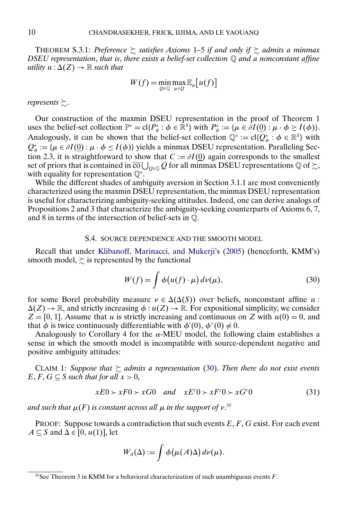<span id="page-9-0"></span>THEOREM S.3.1: *Preference*  $\succsim$  satisfies Axioms 1–5 if and only if  $\succsim$  admits a minmax *DSEU representation*, *that is*, *there exists a belief-set collection* Q *and a nonconstant affine* utility  $u : \Delta(Z) \to \mathbb{R}$  such that

$$
W(f) = \min_{Q \in \mathbb{Q}} \max_{\mu \in Q} \mathbb{E}_{\mu}[u(f)]
$$

represents  $\succsim$ .

Our construction of the maxmin DSEU representation in the proof of Theorem 1 uses the belief-set collection  $\mathbb{P}^* = \text{cl}\{P^*_{\phi} : \phi \in \mathbb{R}^S\}$  with  $P^*_{\phi} := \{\mu \in \partial I(\underline{0}) : \mu \cdot \phi \ge I(\phi)\}.$ Analogously, it can be shown that the belief-set collection  $\mathbb{Q}^* := \text{cl}\{Q^*_{\phi} : \phi \in \mathbb{R}^S\}$  with  $Q_{\phi}^* := {\mu \in \partial I(\underline{0}) : \mu \cdot \phi \leq I(\phi)}$  yields a minmax DSEU representation. Paralleling Section 2.3, it is straightforward to show that  $C := \partial I(0)$  again corresponds to the smallest set of priors that is contained in  $\overline{\text{co}}\bigcup_{Q\in\mathbb{Q}}Q$  for all minmax DSEU representations  $\mathbb{Q}$  of  $\succsim$ , with equality for representation Q∗.

While the different shades of ambiguity aversion in Section 3.1.1 are most conveniently characterized using the maxmin DSEU representation, the minmax DSEU representation is useful for characterizing ambiguity-seeking attitudes. Indeed, one can derive analogs of Propositions 2 and 3 that characterize the ambiguity-seeking counterparts of Axioms 6, 7, and 8 in terms of the intersection of belief-sets in Q.

#### S.4. SOURCE DEPENDENCE AND THE SMOOTH MODEL

Recall that under [Klibanoff, Marinacci, and Mukerji'](#page-10-0)s [\(2005\)](#page-10-0) (henceforth, KMM's) smooth model,  $\succsim$  is represented by the functional

$$
W(f) = \int \phi\big(u(f) \cdot \mu\big) \, d\nu(\mu),\tag{30}
$$

for some Borel probability measure  $\nu \in \Delta(\Delta(S))$  over beliefs, nonconstant affine u:  $\Delta(Z) \to \mathbb{R}$ , and strictly increasing  $\phi : u(Z) \to \mathbb{R}$ . For expositional simplicity, we consider  $Z = [0, 1]$ . Assume that u is strictly increasing and continuous on Z with  $u(0) = 0$ , and that  $\phi$  is twice continuously differentiable with  $\phi'(0)$ ,  $\phi''(0) \neq 0$ .

Analogously to Corollary 4 for the  $\alpha$ -MEU model, the following claim establishes a sense in which the smooth model is incompatible with source-dependent negative and positive ambiguity attitudes:

CLAIM 1: Suppose that  $\succsim$  admits a representation (30). Then there do not exist events  $E, F, G \subseteq S$  *such that for all*  $x > 0$ ,

$$
xE0 \succ xF0 \succ xG0 \quad and \quad xE^{c}0 \succ xF^{c}0 \succ xG^{c}0 \tag{31}
$$

and such that  $\mu(F)$  is constant across all  $\mu$  in the support of v.<sup>35</sup>

PROOF: Suppose towards a contradiction that such events  $E, F, G$  exist. For each event  $A \subseteq S$  and  $\Delta \in [0, u(1)]$ , let

$$
W_A(\Delta) := \int \phi(\mu(A)\Delta) d\nu(\mu).
$$

<sup>&</sup>lt;sup>35</sup>See Theorem 3 in KMM for a behavioral characterization of such unambiguous events  $F$ .